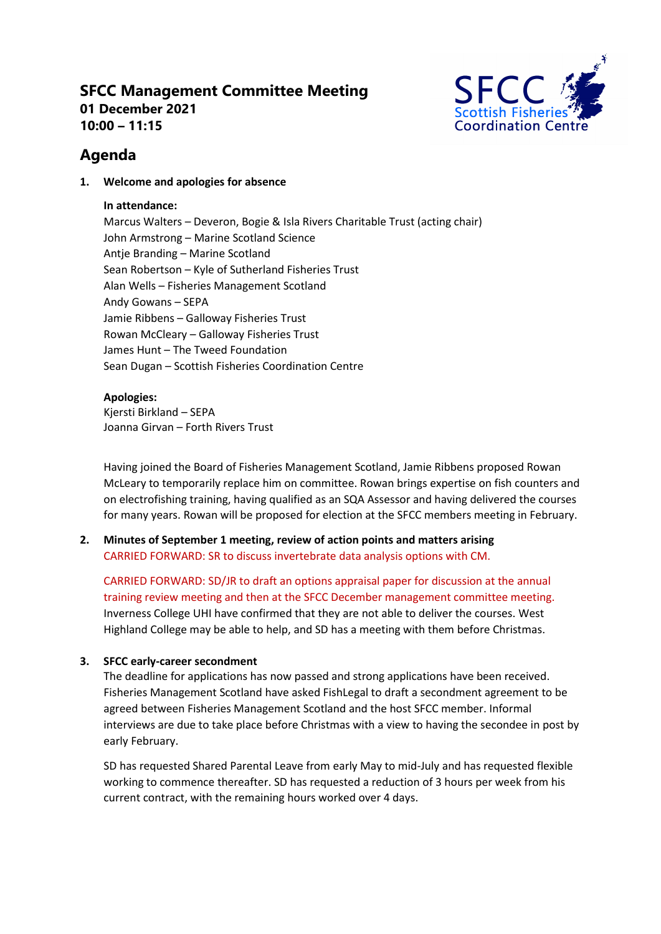## **SFCC Management Committee Meeting 01 December 2021 10:00 – 11:15**



# **Agenda**

## **1. Welcome and apologies for absence**

## **In attendance:**

Marcus Walters – Deveron, Bogie & Isla Rivers Charitable Trust (acting chair) John Armstrong – Marine Scotland Science Antje Branding – Marine Scotland Sean Robertson – Kyle of Sutherland Fisheries Trust Alan Wells – Fisheries Management Scotland Andy Gowans – SEPA Jamie Ribbens – Galloway Fisheries Trust Rowan McCleary – Galloway Fisheries Trust James Hunt – The Tweed Foundation Sean Dugan – Scottish Fisheries Coordination Centre

## **Apologies:**

Kjersti Birkland – SEPA Joanna Girvan – Forth Rivers Trust

Having joined the Board of Fisheries Management Scotland, Jamie Ribbens proposed Rowan McLeary to temporarily replace him on committee. Rowan brings expertise on fish counters and on electrofishing training, having qualified as an SQA Assessor and having delivered the courses for many years. Rowan will be proposed for election at the SFCC members meeting in February.

## **2. Minutes of September 1 meeting, review of action points and matters arising** CARRIED FORWARD: SR to discuss invertebrate data analysis options with CM.

CARRIED FORWARD: SD/JR to draft an options appraisal paper for discussion at the annual training review meeting and then at the SFCC December management committee meeting. Inverness College UHI have confirmed that they are not able to deliver the courses. West Highland College may be able to help, and SD has a meeting with them before Christmas.

## **3. SFCC early-career secondment**

The deadline for applications has now passed and strong applications have been received. Fisheries Management Scotland have asked FishLegal to draft a secondment agreement to be agreed between Fisheries Management Scotland and the host SFCC member. Informal interviews are due to take place before Christmas with a view to having the secondee in post by early February.

SD has requested Shared Parental Leave from early May to mid-July and has requested flexible working to commence thereafter. SD has requested a reduction of 3 hours per week from his current contract, with the remaining hours worked over 4 days.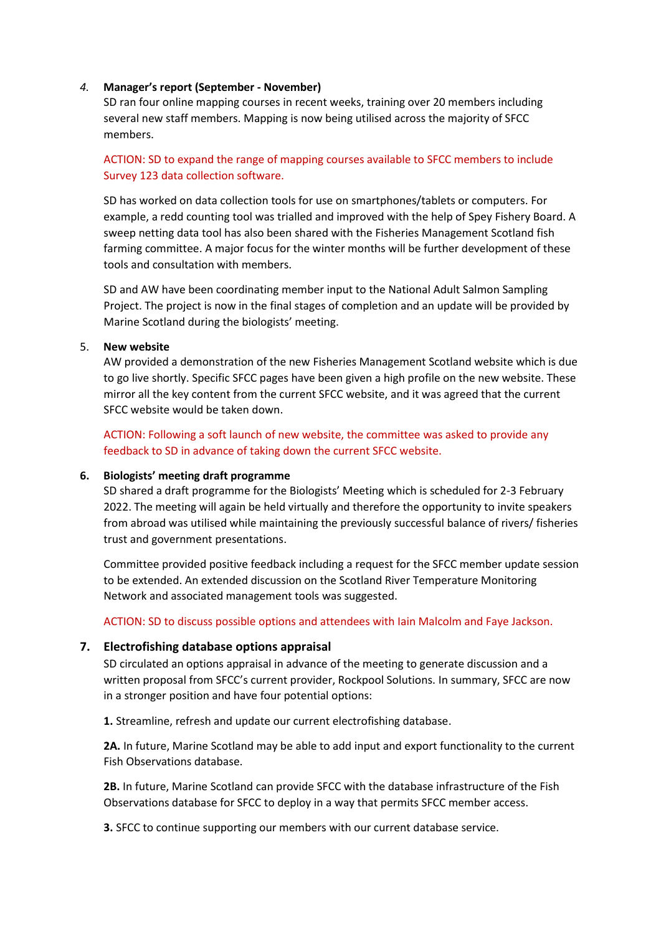#### *4.* **Manager's report (September - November)**

SD ran four online mapping courses in recent weeks, training over 20 members including several new staff members. Mapping is now being utilised across the majority of SFCC members.

## ACTION: SD to expand the range of mapping courses available to SFCC members to include Survey 123 data collection software.

SD has worked on data collection tools for use on smartphones/tablets or computers. For example, a redd counting tool was trialled and improved with the help of Spey Fishery Board. A sweep netting data tool has also been shared with the Fisheries Management Scotland fish farming committee. A major focus for the winter months will be further development of these tools and consultation with members.

SD and AW have been coordinating member input to the National Adult Salmon Sampling Project. The project is now in the final stages of completion and an update will be provided by Marine Scotland during the biologists' meeting.

#### 5. **New website**

AW provided a demonstration of the new Fisheries Management Scotland website which is due to go live shortly. Specific SFCC pages have been given a high profile on the new website. These mirror all the key content from the current SFCC website, and it was agreed that the current SFCC website would be taken down.

ACTION: Following a soft launch of new website, the committee was asked to provide any feedback to SD in advance of taking down the current SFCC website.

#### **6. Biologists' meeting draft programme**

SD shared a draft programme for the Biologists' Meeting which is scheduled for 2-3 February 2022. The meeting will again be held virtually and therefore the opportunity to invite speakers from abroad was utilised while maintaining the previously successful balance of rivers/ fisheries trust and government presentations.

Committee provided positive feedback including a request for the SFCC member update session to be extended. An extended discussion on the Scotland River Temperature Monitoring Network and associated management tools was suggested.

#### ACTION: SD to discuss possible options and attendees with Iain Malcolm and Faye Jackson.

#### **7. Electrofishing database options appraisal**

SD circulated an options appraisal in advance of the meeting to generate discussion and a written proposal from SFCC's current provider, Rockpool Solutions. In summary, SFCC are now in a stronger position and have four potential options:

**1.** Streamline, refresh and update our current electrofishing database.

**2A.** In future, Marine Scotland may be able to add input and export functionality to the current Fish Observations database.

**2B.** In future, Marine Scotland can provide SFCC with the database infrastructure of the Fish Observations database for SFCC to deploy in a way that permits SFCC member access.

**3.** SFCC to continue supporting our members with our current database service.